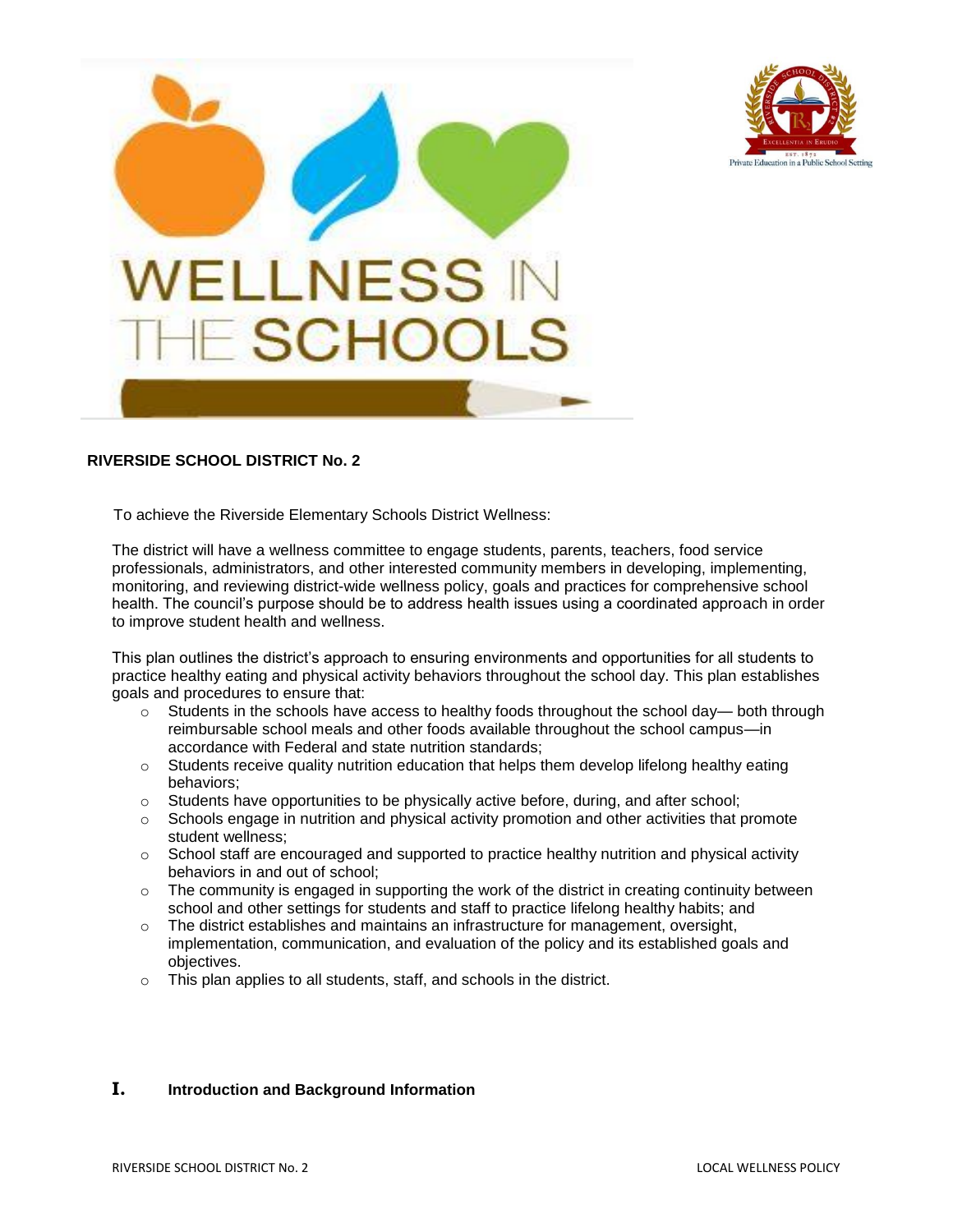



## **RIVERSIDE SCHOOL DISTRICT No. 2**

To achieve the Riverside Elementary Schools District Wellness:

The district will have a wellness committee to engage students, parents, teachers, food service professionals, administrators, and other interested community members in developing, implementing, monitoring, and reviewing district-wide wellness policy, goals and practices for comprehensive school health. The council's purpose should be to address health issues using a coordinated approach in order to improve student health and wellness.

This plan outlines the district's approach to ensuring environments and opportunities for all students to practice healthy eating and physical activity behaviors throughout the school day. This plan establishes goals and procedures to ensure that:

- $\circ$  Students in the schools have access to healthy foods throughout the school day— both through reimbursable school meals and other foods available throughout the school campus—in accordance with Federal and state nutrition standards;
- $\circ$  Students receive quality nutrition education that helps them develop lifelong healthy eating behaviors;
- o Students have opportunities to be physically active before, during, and after school;
- $\circ$  Schools engage in nutrition and physical activity promotion and other activities that promote student wellness;
- $\circ$  School staff are encouraged and supported to practice healthy nutrition and physical activity behaviors in and out of school;
- $\circ$  The community is engaged in supporting the work of the district in creating continuity between school and other settings for students and staff to practice lifelong healthy habits; and
- $\circ$  The district establishes and maintains an infrastructure for management, oversight, implementation, communication, and evaluation of the policy and its established goals and objectives.
- o This plan applies to all students, staff, and schools in the district.

### **I. Introduction and Background Information**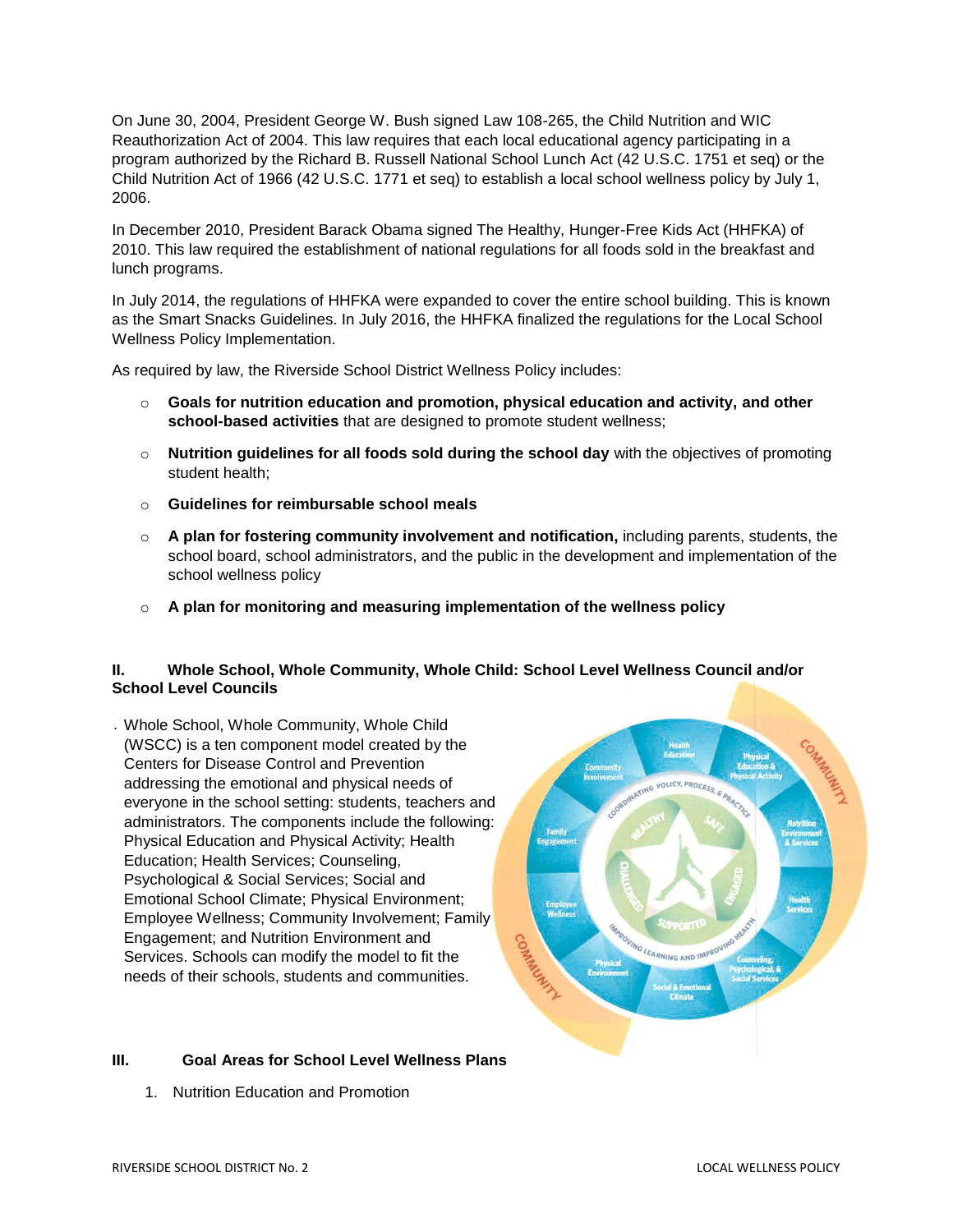On June 30, 2004, President George W. Bush signed Law 108-265, the Child Nutrition and WIC Reauthorization Act of 2004. This law requires that each local educational agency participating in a program authorized by the Richard B. Russell National School Lunch Act (42 U.S.C. 1751 et seq) or the Child Nutrition Act of 1966 (42 U.S.C. 1771 et seq) to establish a local school wellness policy by July 1, 2006.

In December 2010, President Barack Obama signed The Healthy, Hunger-Free Kids Act (HHFKA) of 2010. This law required the establishment of national regulations for all foods sold in the breakfast and lunch programs.

In July 2014, the regulations of HHFKA were expanded to cover the entire school building. This is known as the Smart Snacks Guidelines. In July 2016, the HHFKA finalized the regulations for the Local School Wellness Policy Implementation.

As required by law, the Riverside School District Wellness Policy includes:

- o **Goals for nutrition education and promotion, physical education and activity, and other school-based activities** that are designed to promote student wellness;
- o **Nutrition guidelines for all foods sold during the school day** with the objectives of promoting student health;
- o **Guidelines for reimbursable school meals**
- o **A plan for fostering community involvement and notification,** including parents, students, the school board, school administrators, and the public in the development and implementation of the school wellness policy
- o **A plan for monitoring and measuring implementation of the wellness policy**

### **II. Whole School, Whole Community, Whole Child: School Level Wellness Council and/or School Level Councils**

. Whole School, Whole Community, Whole Child (WSCC) is a ten component model created by the Centers for Disease Control and Prevention addressing the emotional and physical needs of everyone in the school setting: students, teachers and administrators. The components include the following: Physical Education and Physical Activity; Health Education; Health Services; Counseling, Psychological & Social Services; Social and Emotional School Climate; Physical Environment; Employee Wellness; Community Involvement; Family Engagement; and Nutrition Environment and Services. Schools can modify the model to fit the needs of their schools, students and communities.

## **III. Goal Areas for School Level Wellness Plans**

1. Nutrition Education and Promotion

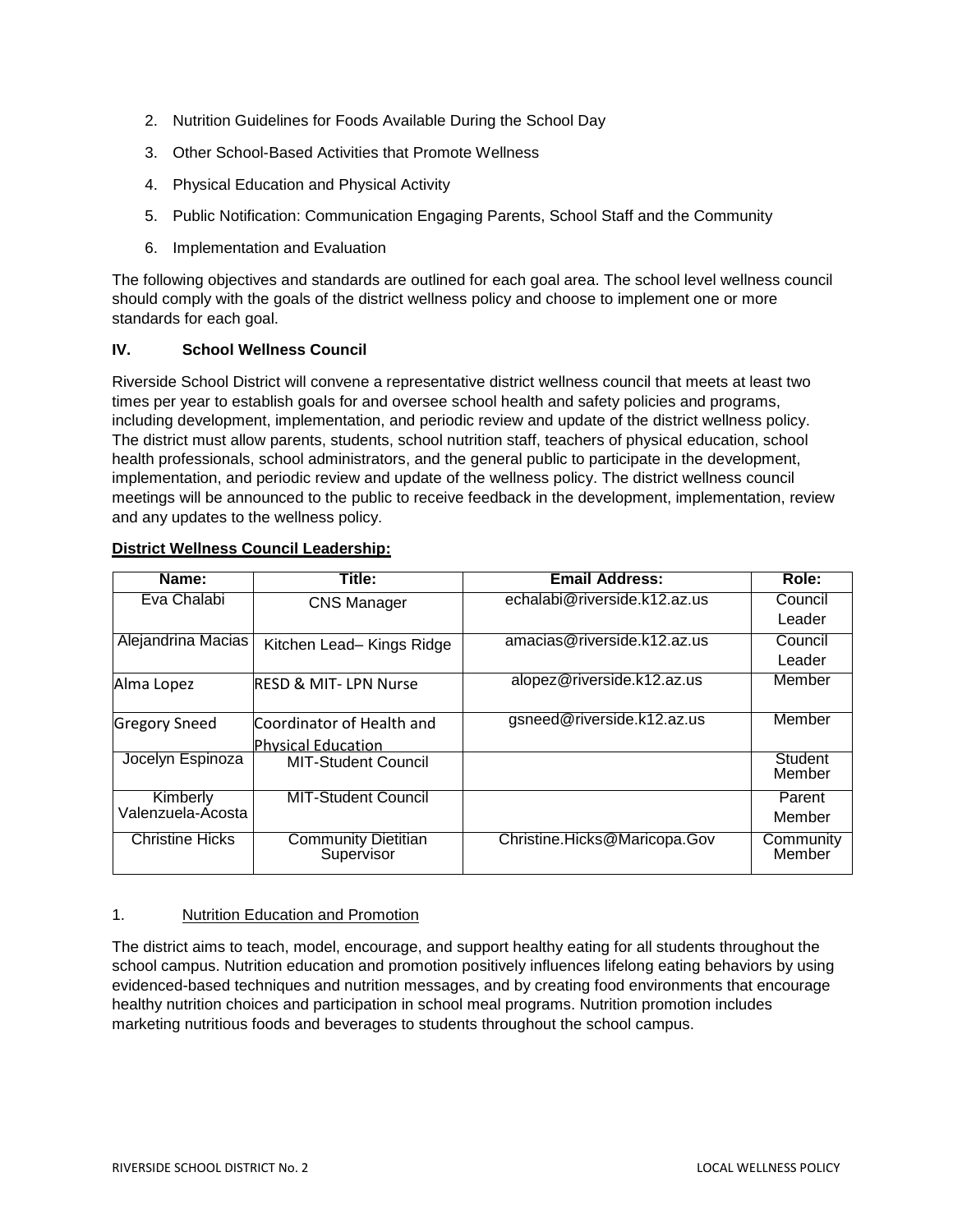- 2. Nutrition Guidelines for Foods Available During the School Day
- 3. Other School-Based Activities that Promote Wellness
- 4. Physical Education and Physical Activity
- 5. Public Notification: Communication Engaging Parents, School Staff and the Community
- 6. Implementation and Evaluation

The following objectives and standards are outlined for each goal area. The school level wellness council should comply with the goals of the district wellness policy and choose to implement one or more standards for each goal.

### **IV. School Wellness Council**

Riverside School District will convene a representative district wellness council that meets at least two times per year to establish goals for and oversee school health and safety policies and programs, including development, implementation, and periodic review and update of the district wellness policy. The district must allow parents, students, school nutrition staff, teachers of physical education, school health professionals, school administrators, and the general public to participate in the development, implementation, and periodic review and update of the wellness policy. The district wellness council meetings will be announced to the public to receive feedback in the development, implementation, review and any updates to the wellness policy.

| Name:                  | Title:                                   | <b>Email Address:</b>        | Role:               |
|------------------------|------------------------------------------|------------------------------|---------------------|
| Eva Chalabi            | <b>CNS Manager</b>                       | echalabi@riverside.k12.az.us | Council             |
|                        |                                          |                              | Leader              |
| Alejandrina Macias     | Kitchen Lead-Kings Ridge                 | amacias@riverside.k12.az.us  | Council             |
|                        |                                          |                              | Leader              |
| Alma Lopez             | <b>RESD &amp; MIT-LPN Nurse</b>          | alopez@riverside.k12.az.us   | Member              |
| <b>Gregory Sneed</b>   | Coordinator of Health and                | gsneed@riverside.k12.az.us   | Member              |
|                        | <b>Physical Education</b>                |                              |                     |
| Jocelyn Espinoza       | <b>MIT-Student Council</b>               |                              | Student<br>Member   |
| Kimberly               | <b>MIT-Student Council</b>               |                              | Parent              |
| Valenzuela-Ácosta      |                                          |                              | Member              |
| <b>Christine Hicks</b> | <b>Community Dietitian</b><br>Supervisor | Christine.Hicks@Maricopa.Gov | Community<br>Member |

### **District Wellness Council Leadership:**

### 1. Nutrition Education and Promotion

The district aims to teach, model, encourage, and support healthy eating for all students throughout the school campus. Nutrition education and promotion positively influences lifelong eating behaviors by using evidenced-based techniques and nutrition messages, and by creating food environments that encourage healthy nutrition choices and participation in school meal programs. Nutrition promotion includes marketing nutritious foods and beverages to students throughout the school campus.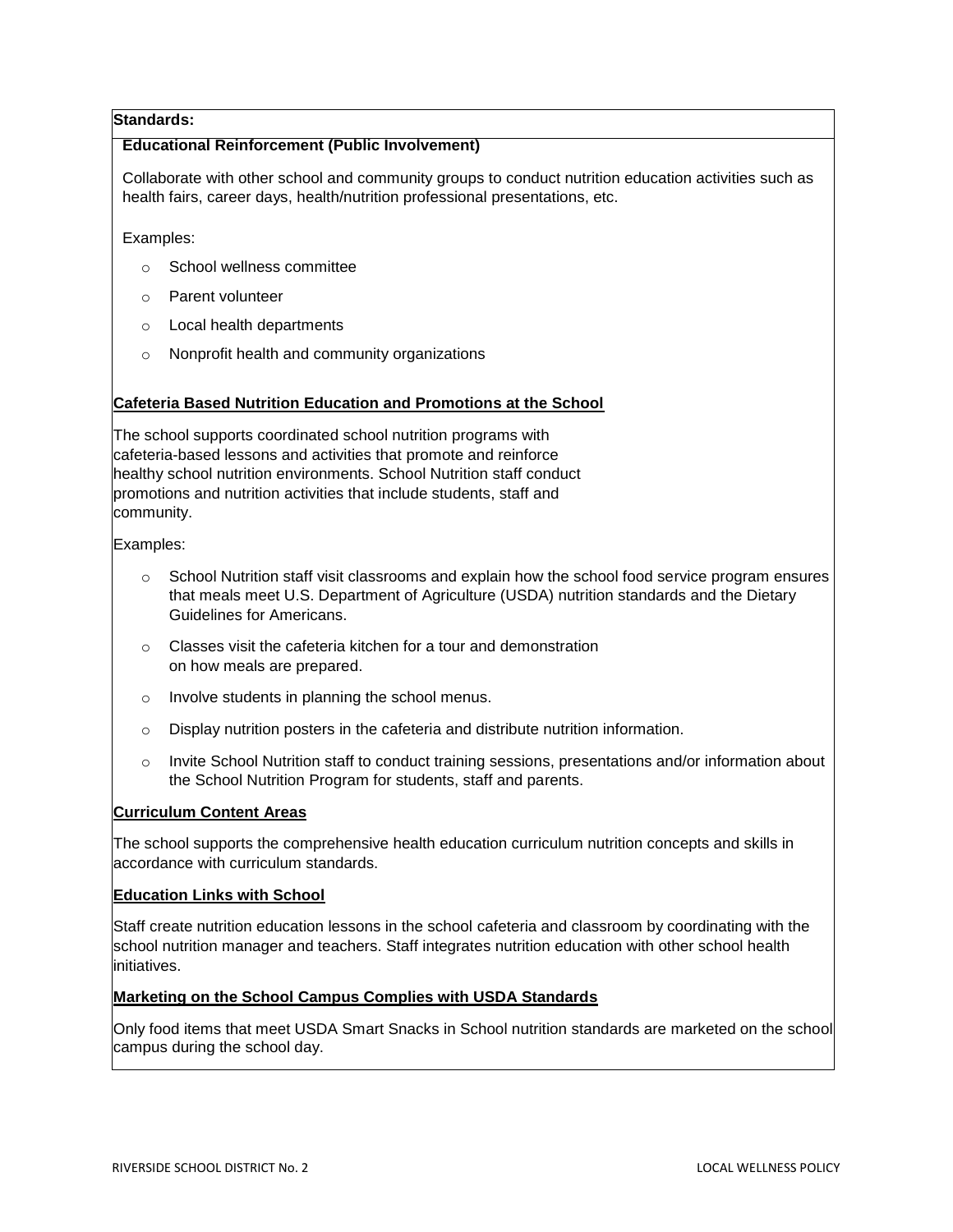## **Standards:**

## **Educational Reinforcement (Public Involvement)**

Collaborate with other school and community groups to conduct nutrition education activities such as health fairs, career days, health/nutrition professional presentations, etc.

Examples:

- o School wellness committee
- o Parent volunteer
- o Local health departments
- o Nonprofit health and community organizations

### **Cafeteria Based Nutrition Education and Promotions at the School**

The school supports coordinated school nutrition programs with cafeteria-based lessons and activities that promote and reinforce healthy school nutrition environments. School Nutrition staff conduct promotions and nutrition activities that include students, staff and community.

Examples:

- $\circ$  School Nutrition staff visit classrooms and explain how the school food service program ensures that meals meet U.S. Department of Agriculture (USDA) nutrition standards and the Dietary Guidelines for Americans.
- o Classes visit the cafeteria kitchen for a tour and demonstration on how meals are prepared.
- o Involve students in planning the school menus.
- $\circ$  Display nutrition posters in the cafeteria and distribute nutrition information.
- o Invite School Nutrition staff to conduct training sessions, presentations and/or information about the School Nutrition Program for students, staff and parents.

## **Curriculum Content Areas**

The school supports the comprehensive health education curriculum nutrition concepts and skills in accordance with curriculum standards.

### **Education Links with School**

Staff create nutrition education lessons in the school cafeteria and classroom by coordinating with the school nutrition manager and teachers. Staff integrates nutrition education with other school health initiatives.

### **Marketing on the School Campus Complies with USDA Standards**

Only food items that meet USDA Smart Snacks in School nutrition standards are marketed on the school campus during the school day.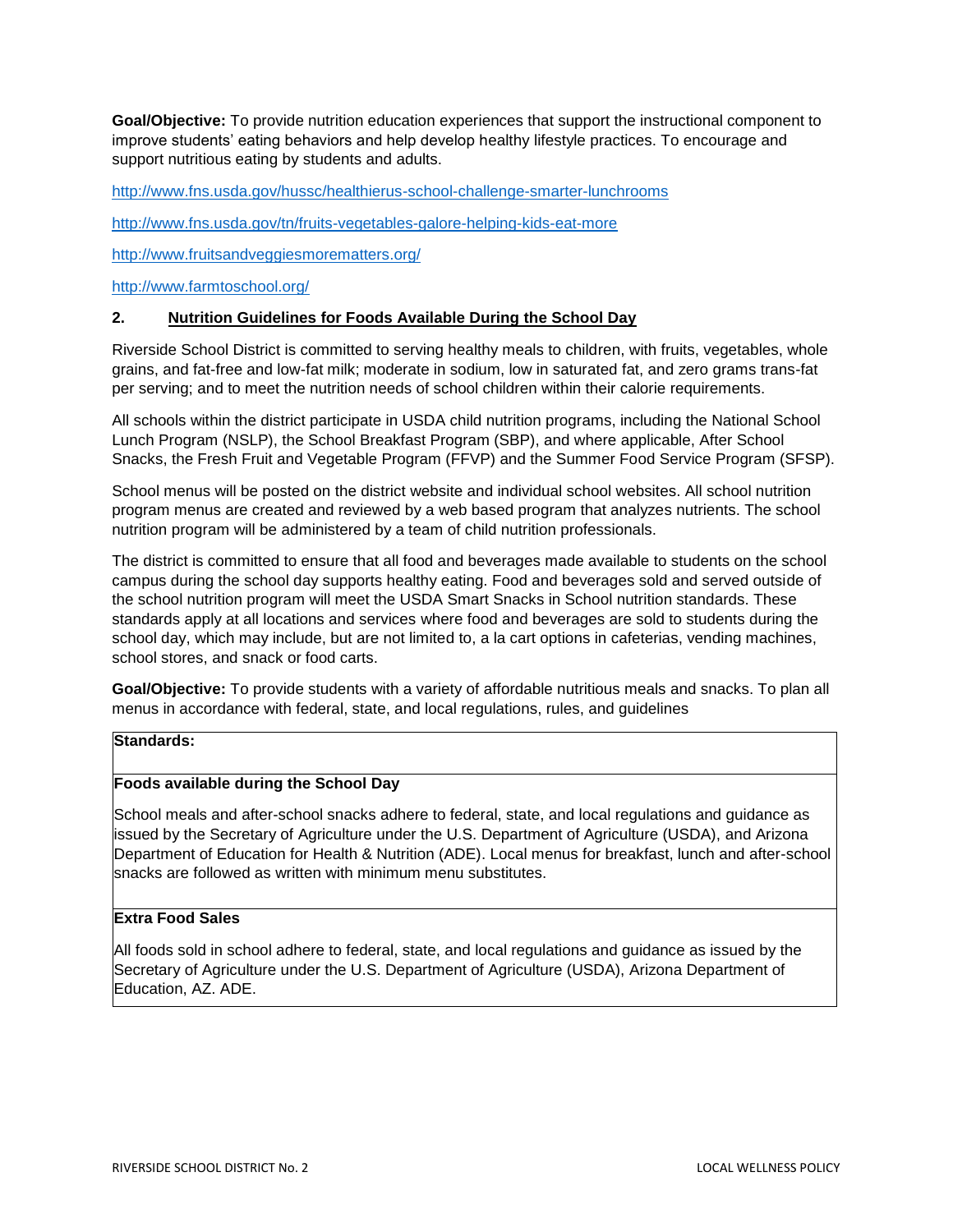**Goal/Objective:** To provide nutrition education experiences that support the instructional component to improve students' eating behaviors and help develop healthy lifestyle practices. To encourage and support nutritious eating by students and adults.

<http://www.fns.usda.gov/hussc/healthierus-school-challenge-smarter-lunchrooms>

<http://www.fns.usda.gov/tn/fruits-vegetables-galore-helping-kids-eat-more>

<http://www.fruitsandveggiesmorematters.org/>

<http://www.farmtoschool.org/>

### **2. Nutrition Guidelines for Foods Available During the School Day**

Riverside School District is committed to serving healthy meals to children, with fruits, vegetables, whole grains, and fat-free and low-fat milk; moderate in sodium, low in saturated fat, and zero grams trans-fat per serving; and to meet the nutrition needs of school children within their calorie requirements.

All schools within the district participate in USDA child nutrition programs, including the National School Lunch Program (NSLP), the School Breakfast Program (SBP), and where applicable, After School Snacks, the Fresh Fruit and Vegetable Program (FFVP) and the Summer Food Service Program (SFSP).

School menus will be posted on the district website and individual school websites. All school nutrition program menus are created and reviewed by a web based program that analyzes nutrients. The school nutrition program will be administered by a team of child nutrition professionals.

The district is committed to ensure that all food and beverages made available to students on the school campus during the school day supports healthy eating. Food and beverages sold and served outside of the school nutrition program will meet the USDA Smart Snacks in School nutrition standards. These standards apply at all locations and services where food and beverages are sold to students during the school day, which may include, but are not limited to, a la cart options in cafeterias, vending machines, school stores, and snack or food carts.

**Goal/Objective:** To provide students with a variety of affordable nutritious meals and snacks. To plan all menus in accordance with federal, state, and local regulations, rules, and guidelines

# **Standards:**

### **Foods available during the School Day**

School meals and after-school snacks adhere to federal, state, and local regulations and guidance as issued by the Secretary of Agriculture under the U.S. Department of Agriculture (USDA), and Arizona Department of Education for Health & Nutrition (ADE). Local menus for breakfast, lunch and after-school snacks are followed as written with minimum menu substitutes.

### **Extra Food Sales**

All foods sold in school adhere to federal, state, and local regulations and guidance as issued by the Secretary of Agriculture under the U.S. Department of Agriculture (USDA), Arizona Department of Education, AZ. ADE.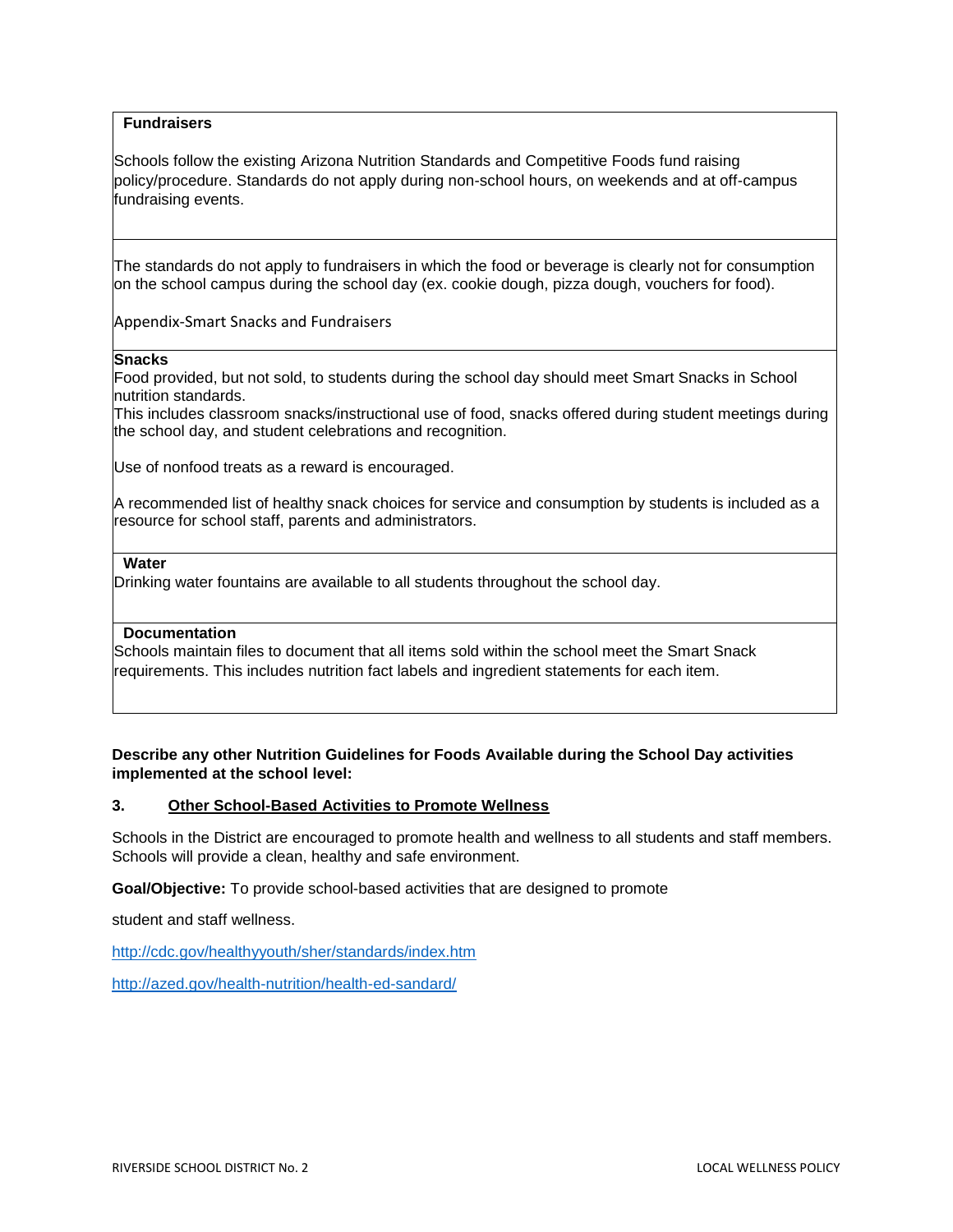### **Fundraisers**

Schools follow the existing Arizona Nutrition Standards and Competitive Foods fund raising policy/procedure. Standards do not apply during non-school hours, on weekends and at off-campus fundraising events.

The standards do not apply to fundraisers in which the food or beverage is clearly not for consumption on the school campus during the school day (ex. cookie dough, pizza dough, vouchers for food).

Appendix-Smart Snacks and Fundraisers

#### **Snacks**

Food provided, but not sold, to students during the school day should meet Smart Snacks in School nutrition standards.

This includes classroom snacks/instructional use of food, snacks offered during student meetings during the school day, and student celebrations and recognition.

Use of nonfood treats as a reward is encouraged.

A recommended list of healthy snack choices for service and consumption by students is included as a resource for school staff, parents and administrators.

#### **Water**

Drinking water fountains are available to all students throughout the school day.

### **Documentation**

Schools maintain files to document that all items sold within the school meet the Smart Snack requirements. This includes nutrition fact labels and ingredient statements for each item.

## **Describe any other Nutrition Guidelines for Foods Available during the School Day activities implemented at the school level:**

### **3. Other School-Based Activities to Promote Wellness**

Schools in the District are encouraged to promote health and wellness to all students and staff members. Schools will provide a clean, healthy and safe environment.

**Goal/Objective:** To provide school-based activities that are designed to promote

student and staff wellness.

<http://cdc.gov/healthyyouth/sher/standards/index.htm>

<http://azed.gov/health-nutrition/health-ed-sandard/>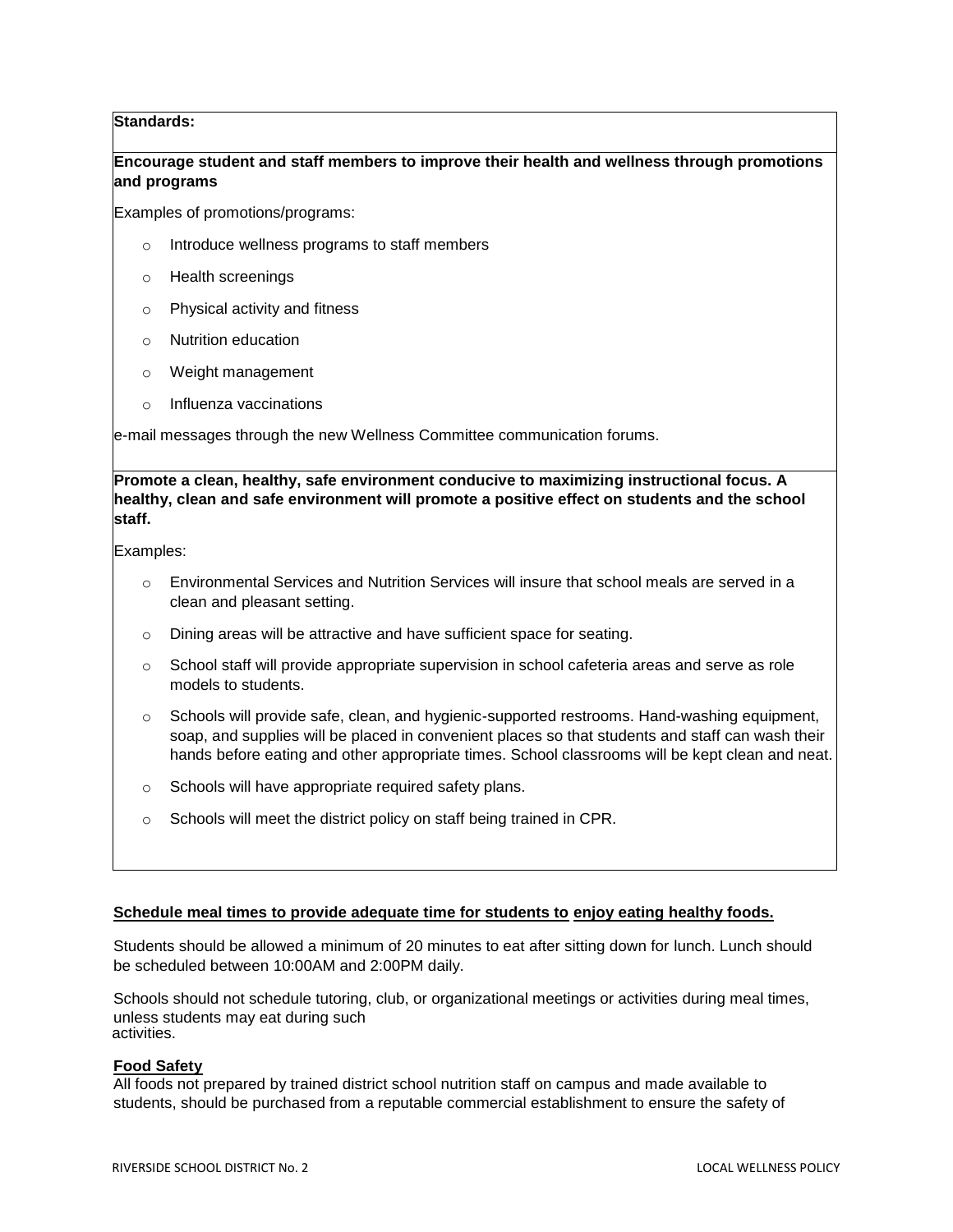## **Standards:**

### **Encourage student and staff members to improve their health and wellness through promotions and programs**

Examples of promotions/programs:

- o Introduce wellness programs to staff members
- o Health screenings
- o Physical activity and fitness
- o Nutrition education
- o Weight management
- o Influenza vaccinations

e-mail messages through the new Wellness Committee communication forums.

**Promote a clean, healthy, safe environment conducive to maximizing instructional focus. A healthy, clean and safe environment will promote a positive effect on students and the school staff.**

Examples:

- $\circ$  Environmental Services and Nutrition Services will insure that school meals are served in a clean and pleasant setting.
- o Dining areas will be attractive and have sufficient space for seating.
- $\circ$  School staff will provide appropriate supervision in school cafeteria areas and serve as role models to students.
- o Schools will provide safe, clean, and hygienic-supported restrooms. Hand-washing equipment, soap, and supplies will be placed in convenient places so that students and staff can wash their hands before eating and other appropriate times. School classrooms will be kept clean and neat.
- o Schools will have appropriate required safety plans.
- o Schools will meet the district policy on staff being trained in CPR.

#### **Schedule meal times to provide adequate time for students to enjoy eating healthy foods.**

Students should be allowed a minimum of 20 minutes to eat after sitting down for lunch. Lunch should be scheduled between 10:00AM and 2:00PM daily.

Schools should not schedule tutoring, club, or organizational meetings or activities during meal times, unless students may eat during such activities.

### **Food Safety**

All foods not prepared by trained district school nutrition staff on campus and made available to students, should be purchased from a reputable commercial establishment to ensure the safety of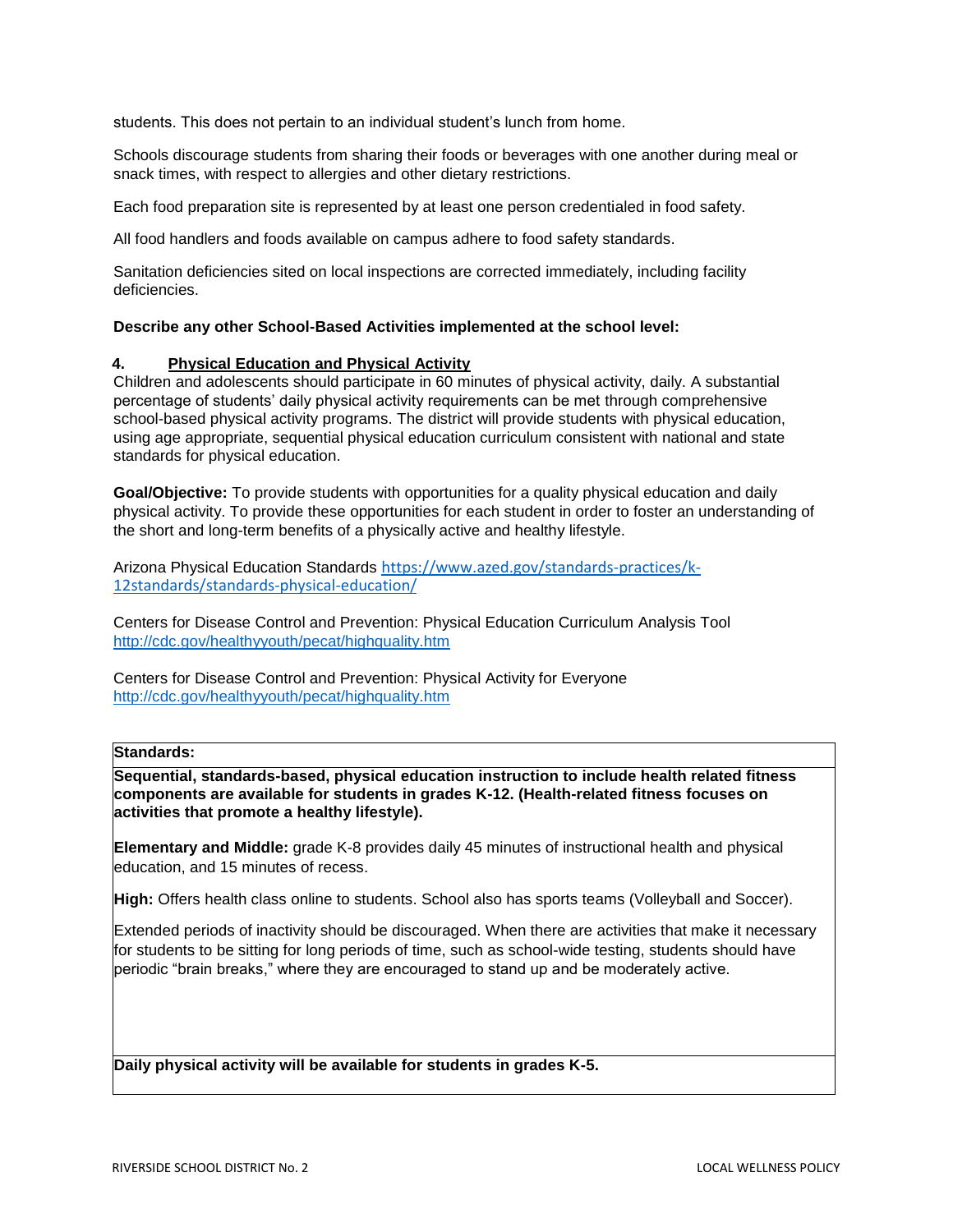students. This does not pertain to an individual student's lunch from home.

Schools discourage students from sharing their foods or beverages with one another during meal or snack times, with respect to allergies and other dietary restrictions.

Each food preparation site is represented by at least one person credentialed in food safety.

All food handlers and foods available on campus adhere to food safety standards.

Sanitation deficiencies sited on local inspections are corrected immediately, including facility deficiencies.

#### **Describe any other School-Based Activities implemented at the school level:**

#### **4. Physical Education and Physical Activity**

Children and adolescents should participate in 60 minutes of physical activity, daily. A substantial percentage of students' daily physical activity requirements can be met through comprehensive school-based physical activity programs. The district will provide students with physical education, using age appropriate, sequential physical education curriculum consistent with national and state standards for physical education.

**Goal/Objective:** To provide students with opportunities for a quality physical education and daily physical activity. To provide these opportunities for each student in order to foster an understanding of the short and long-term benefits of a physically active and healthy lifestyle.

Arizona Physical Education Standards [https://www.azed.gov/standards-practices/k-](https://www.azed.gov/standards-practices/k-12standards/standards-physical-education/)[12standards/standards-physical-education/](https://www.azed.gov/standards-practices/k-12standards/standards-physical-education/)

Centers for Disease Control and Prevention: Physical Education Curriculum Analysis Tool <http://cdc.gov/healthyyouth/pecat/highquality.htm>

Centers for Disease Control and Prevention: Physical Activity for Everyone <http://cdc.gov/healthyyouth/pecat/highquality.htm>

### **Standards:**

**Sequential, standards-based, physical education instruction to include health related fitness components are available for students in grades K-12. (Health-related fitness focuses on activities that promote a healthy lifestyle).**

**Elementary and Middle:** grade K-8 provides daily 45 minutes of instructional health and physical education, and 15 minutes of recess.

**High:** Offers health class online to students. School also has sports teams (Volleyball and Soccer).

Extended periods of inactivity should be discouraged. When there are activities that make it necessary for students to be sitting for long periods of time, such as school-wide testing, students should have periodic "brain breaks," where they are encouraged to stand up and be moderately active.

**Daily physical activity will be available for students in grades K-5.**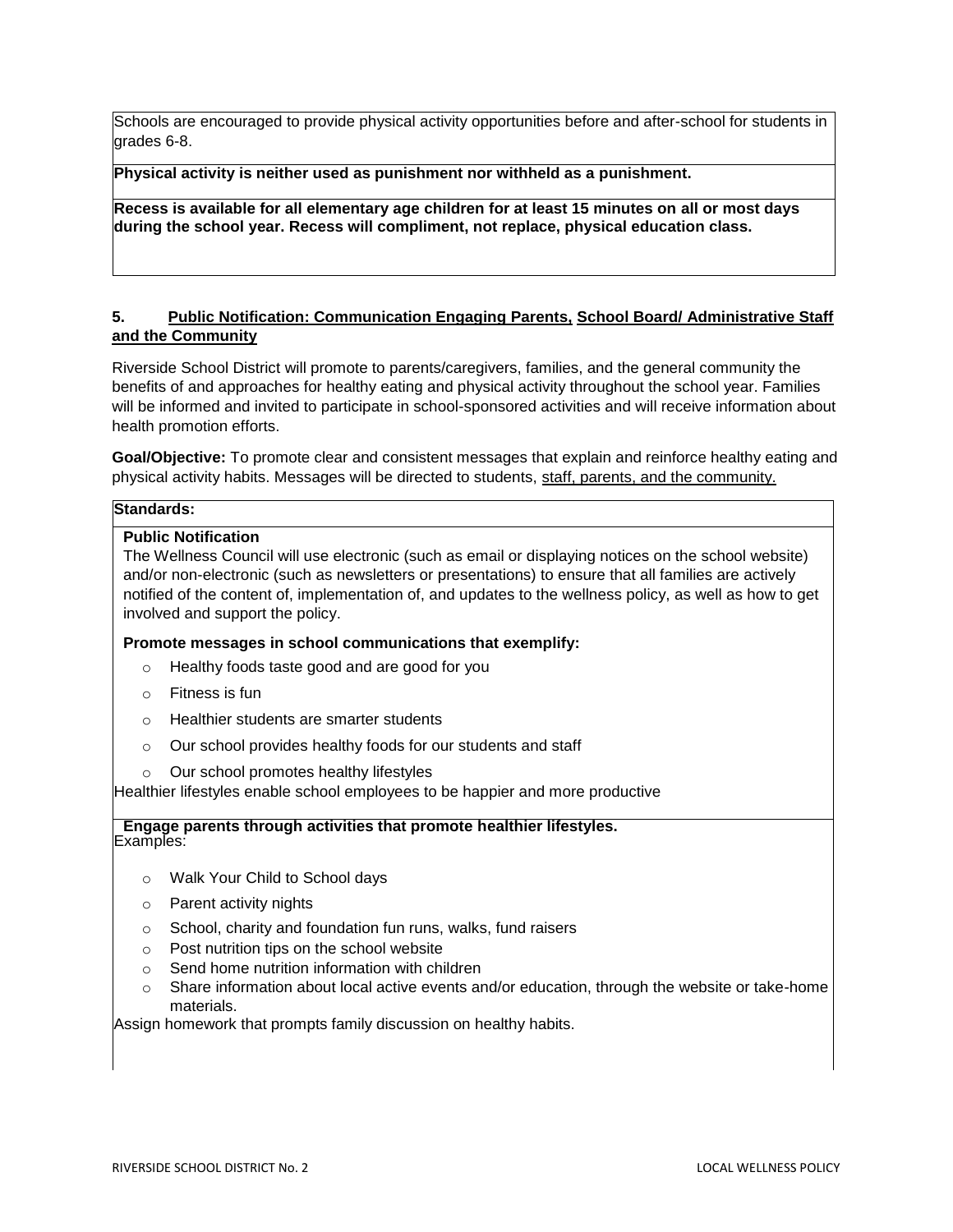Schools are encouraged to provide physical activity opportunities before and after-school for students in grades 6-8.

**Physical activity is neither used as punishment nor withheld as a punishment.**

**Recess is available for all elementary age children for at least 15 minutes on all or most days during the school year. Recess will compliment, not replace, physical education class.**

### **5. Public Notification: Communication Engaging Parents, School Board/ Administrative Staff and the Community**

Riverside School District will promote to parents/caregivers, families, and the general community the benefits of and approaches for healthy eating and physical activity throughout the school year. Families will be informed and invited to participate in school-sponsored activities and will receive information about health promotion efforts.

**Goal/Objective:** To promote clear and consistent messages that explain and reinforce healthy eating and physical activity habits. Messages will be directed to students, staff, parents, and the community.

#### **Standards:**

#### **Public Notification**

The Wellness Council will use electronic (such as email or displaying notices on the school website) and/or non-electronic (such as newsletters or presentations) to ensure that all families are actively notified of the content of, implementation of, and updates to the wellness policy, as well as how to get involved and support the policy.

**Promote messages in school communications that exemplify:**

- o Healthy foods taste good and are good for you
- o Fitness is fun
- o Healthier students are smarter students
- o Our school provides healthy foods for our students and staff
- o Our school promotes healthy lifestyles

Healthier lifestyles enable school employees to be happier and more productive

#### **Engage parents through activities that promote healthier lifestyles.** Examples:

- o Walk Your Child to School days
- o Parent activity nights
- o School, charity and foundation fun runs, walks, fund raisers
- o Post nutrition tips on the school website
- o Send home nutrition information with children
- $\circ$  Share information about local active events and/or education, through the website or take-home materials.

Assign homework that prompts family discussion on healthy habits.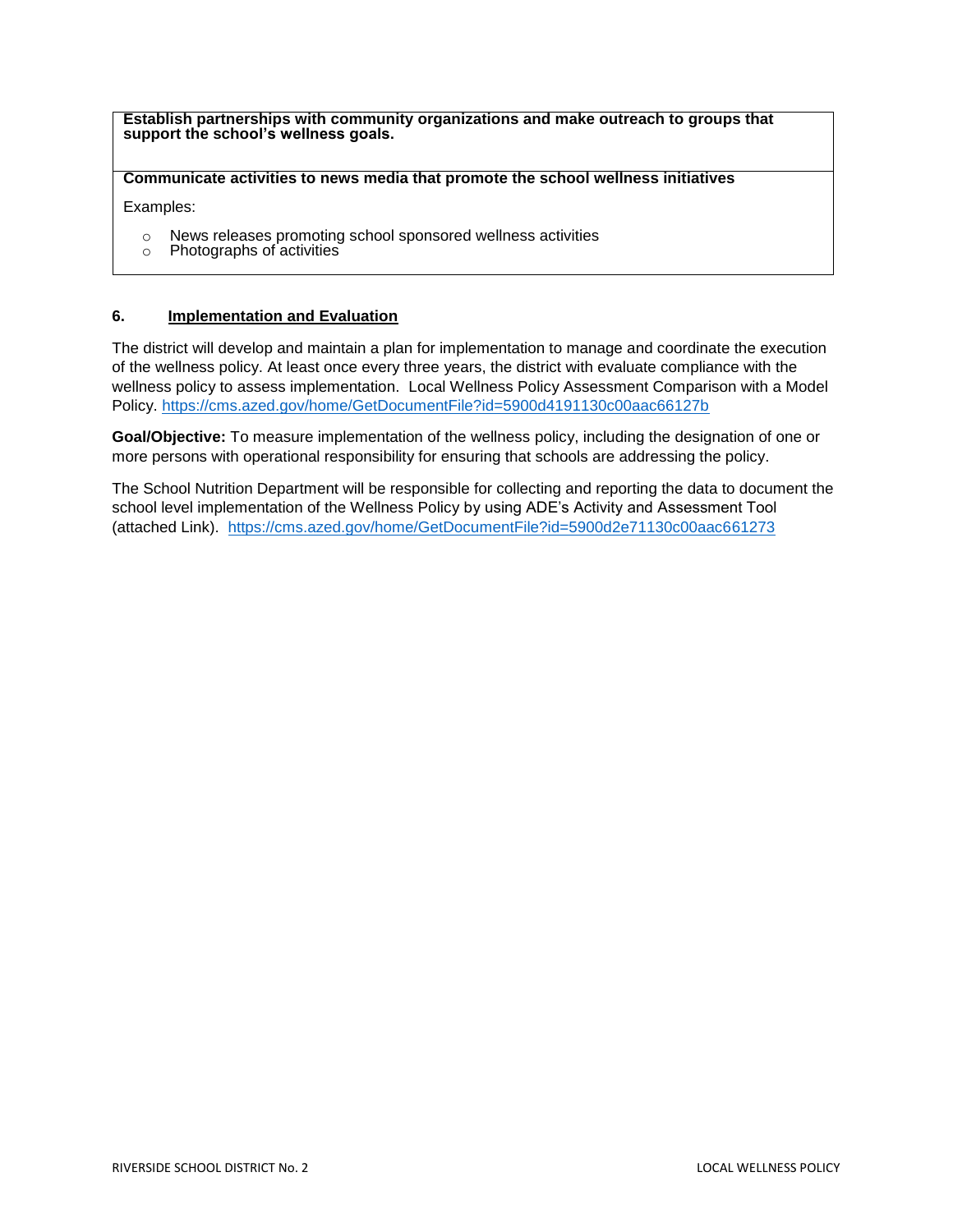**Establish partnerships with community organizations and make outreach to groups that support the school's wellness goals.**

**Communicate activities to news media that promote the school wellness initiatives**

Examples:

- o News releases promoting school sponsored wellness activities
- o Photographs of activities

### **6. Implementation and Evaluation**

The district will develop and maintain a plan for implementation to manage and coordinate the execution of the wellness policy. At least once every three years, the district with evaluate compliance with the wellness policy to assess implementation. Local Wellness Policy Assessment Comparison with a Model Policy.<https://cms.azed.gov/home/GetDocumentFile?id=5900d4191130c00aac66127b>

**Goal/Objective:** To measure implementation of the wellness policy, including the designation of one or more persons with operational responsibility for ensuring that schools are addressing the policy.

The School Nutrition Department will be responsible for collecting and reporting the data to document the school level implementation of the Wellness Policy by using ADE's Activity and Assessment Tool (attached Link). <https://cms.azed.gov/home/GetDocumentFile?id=5900d2e71130c00aac661273>